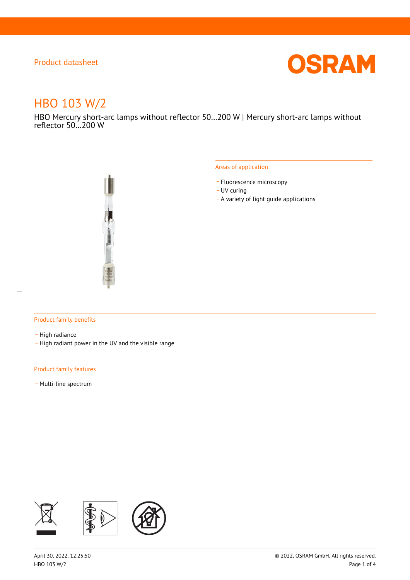

# HBO 103 W/2

HBO Mercury short-arc lamps without reflector 50…200 W | Mercury short-arc lamps without reflector 50…200 W



#### Areas of application

- Fluorescence microscopy
- UV curing
- \_ A variety of light guide applications

#### Product family benefits

- High radiance
- \_ High radiant power in the UV and the visible range

#### Product family features

- Multi-line spectrum

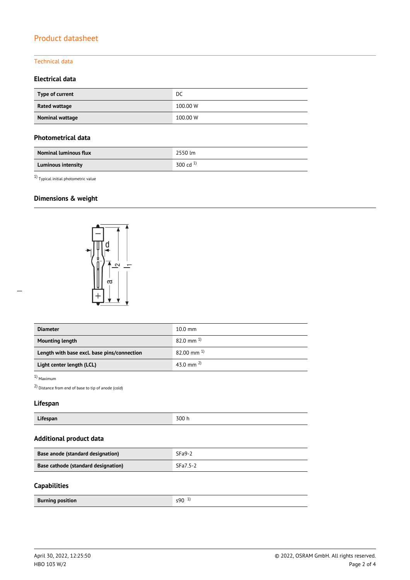#### Technical data

#### **Electrical data**

| Type of current | DC       |  |
|-----------------|----------|--|
| Rated wattage   | 100.00 W |  |
| Nominal wattage | 100.00 W |  |

#### **Photometrical data**

| <b>Nominal luminous flux</b> | 2550 lm       |
|------------------------------|---------------|
| <b>Luminous intensity</b>    | 300 cd $^{1}$ |

1) Typical initial photometric value

# **Dimensions & weight**



| <b>Diameter</b>                             | $10.0 \text{ mm}$      |  |
|---------------------------------------------|------------------------|--|
| <b>Mounting length</b>                      | $82.0 \text{ mm}^{-1}$ |  |
| Length with base excl. base pins/connection | $82.00$ mm $^{1}$      |  |
| Light center length (LCL)                   | 43.0 mm $^{2}$         |  |

#### 1) Maximum

2) Distance from end of base to tip of anode (cold)

#### **Lifespan**

| 300 h<br>.<br>Lifespan |
|------------------------|
|------------------------|

# **Additional product data**

| Base anode (standard designation)   | $SFa9-2$ |
|-------------------------------------|----------|
| Base cathode (standard designation) | SFa7.5-2 |

#### **Capabilities**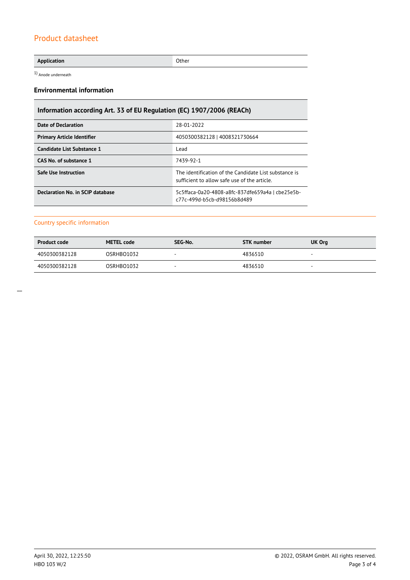#### **Application** Other

1) Anode underneath

#### **Environmental information**

# **Information according Art. 33 of EU Regulation (EC) 1907/2006 (REACh)**

| Date of Declaration               | 28-01-2022                                                                                            |  |  |
|-----------------------------------|-------------------------------------------------------------------------------------------------------|--|--|
| <b>Primary Article Identifier</b> | 4050300382128   4008321730664                                                                         |  |  |
| Candidate List Substance 1        | Lead                                                                                                  |  |  |
| CAS No. of substance 1            | 7439-92-1                                                                                             |  |  |
| <b>Safe Use Instruction</b>       | The identification of the Candidate List substance is<br>sufficient to allow safe use of the article. |  |  |
| Declaration No. in SCIP database  | 5c5ffaca-0a20-4808-a8fc-837dfe659a4a   cbe25e5b-<br>c77c-499d-b5cb-d98156b8d489                       |  |  |

#### Country specific information

| <b>Product code</b> | <b>METEL code</b> | SEG-No. | STK number | UK Org                   |
|---------------------|-------------------|---------|------------|--------------------------|
| 4050300382128       | OSRHBO1032        |         | 4836510    | $\overline{\phantom{a}}$ |
| 4050300382128       | OSRHBO1032        | -       | 4836510    | $\sim$                   |